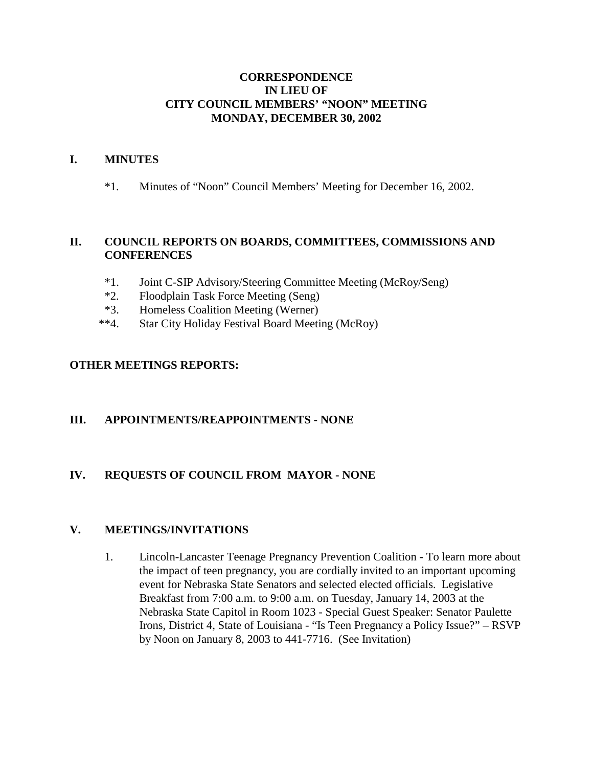### **CORRESPONDENCE IN LIEU OF CITY COUNCIL MEMBERS' "NOON" MEETING MONDAY, DECEMBER 30, 2002**

### **I. MINUTES**

\*1. Minutes of "Noon" Council Members' Meeting for December 16, 2002.

### **II. COUNCIL REPORTS ON BOARDS, COMMITTEES, COMMISSIONS AND CONFERENCES**

- \*1. Joint C-SIP Advisory/Steering Committee Meeting (McRoy/Seng)
- \*2. Floodplain Task Force Meeting (Seng)
- \*3. Homeless Coalition Meeting (Werner)
- \*\*4. Star City Holiday Festival Board Meeting (McRoy)

### **OTHER MEETINGS REPORTS:**

#### **III. APPOINTMENTS/REAPPOINTMENTS** - **NONE**

### **IV. REQUESTS OF COUNCIL FROM MAYOR - NONE**

#### **V. MEETINGS/INVITATIONS**

1. Lincoln-Lancaster Teenage Pregnancy Prevention Coalition - To learn more about the impact of teen pregnancy, you are cordially invited to an important upcoming event for Nebraska State Senators and selected elected officials. Legislative Breakfast from 7:00 a.m. to 9:00 a.m. on Tuesday, January 14, 2003 at the Nebraska State Capitol in Room 1023 - Special Guest Speaker: Senator Paulette Irons, District 4, State of Louisiana - "Is Teen Pregnancy a Policy Issue?" – RSVP by Noon on January 8, 2003 to 441-7716. (See Invitation)